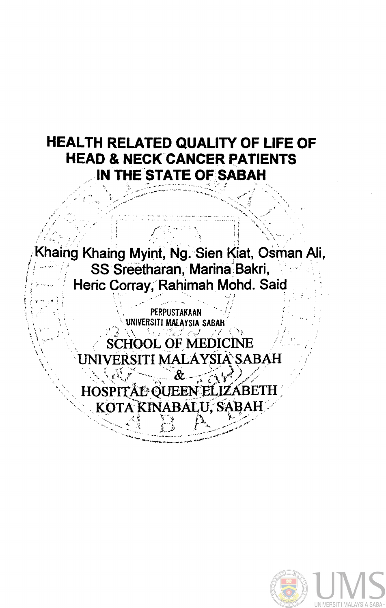## **HEALTH RELATED QUALITY OF LIFE OF HEAD & NECK CANCER PATIENTS** IN THE STATE OF SABAH

haing Khaing Myint, Ng. Sien Kiat, Osman Ali, SS Sreetharan, Marina Bakri, Heric Corray, Rahimah Mohd. Said

> PERPUSTAKAAN NIVERSITI MALAYSIA SAI

**SCHOOL OF MEDICINE JNIVERSITI MALÁYSIA SABAH** 

HOSPITAL OUEEN KOTA KINABALU, SAB